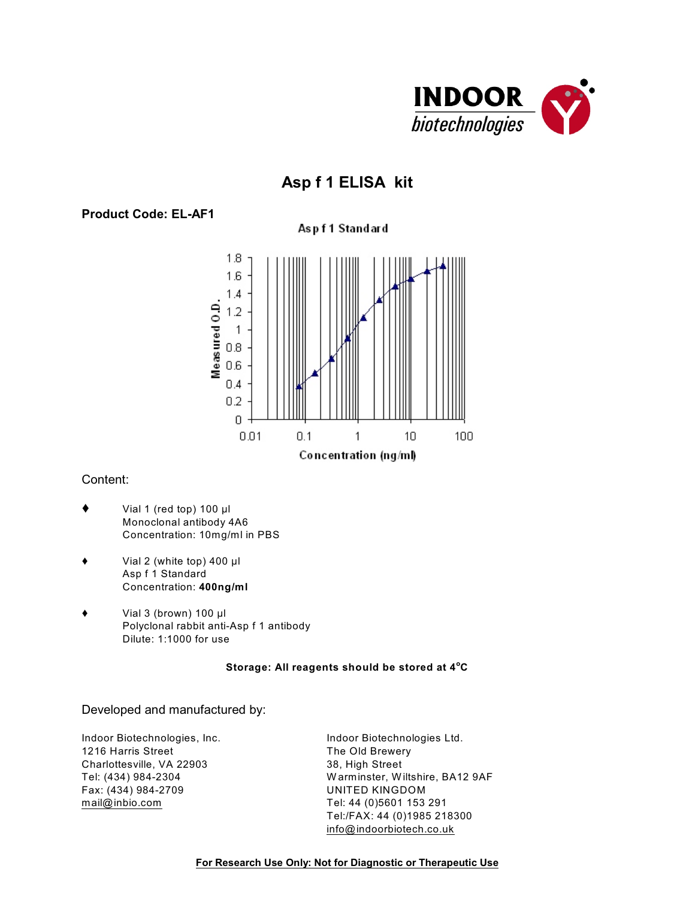

# **Asp f 1 ELISA kit**

# **Product Code: EL-AF1**

# Aspf1 Standard



## Content:

- $\blacklozenge$  Vial 1 (red top) 100 µl Monoclonal antibody 4A6 Concentration: 10mg/ml in PBS
- $\blacklozenge$  Vial 2 (white top) 400  $\mu$ l Asp f 1 Standard Concentration: **400ng/ml**
- $\blacklozenge$  Vial 3 (brown) 100 µl Polyclonal rabbit anti-Asp f 1 antibody Dilute: 1:1000 for use

#### **Storage: All reagents should be stored at 4 C o**

#### Developed and manufactured by:

1216 Harris Street The Old Brewery Charlottesville, VA 22903 38, High Street Fax: (434) 984-2709 UNITED KINGDOM [mail@inbio.com](mailto:mail@inbio.com) Tel: 44 (0)5601 153 291

Indoor Biotechnologies, Inc. The State of Biotechnologies Ltd. Tel: (434) 984-2304 W arminster, W iltshire, BA12 9AF Tel:/FAX: 44 (0)1985 218300 [info@indoorbiotech.co.uk](mailto:info@indoorbiotech.co.uk)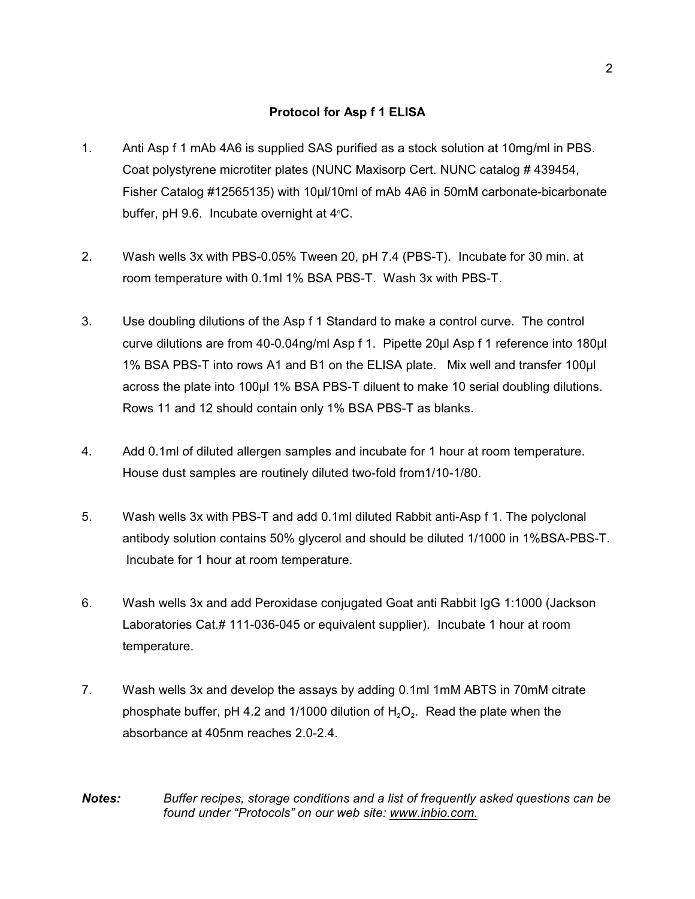# **Protocol for Asp f 1 ELISA**

- 1. Anti Asp f 1 mAb 4A6 is supplied SAS purified as a stock solution at 10mg/ml in PBS. Coat polystyrene microtiter plates (NUNC Maxisorp Cert. NUNC catalog # 439454, Fisher Catalog #12565135) with 10µl/10ml of mAb 4A6 in 50mM carbonate-bicarbonate buffer, pH 9.6. Incubate overnight at  $4^{\circ}$ C.
- 2. Wash wells 3x with PBS-0.05% Tween 20, pH 7.4 (PBS-T). Incubate for 30 min. at room temperature with 0.1ml 1% BSA PBS-T. Wash 3x with PBS-T.
- 3. Use doubling dilutions of the Asp f 1 Standard to make a control curve. The control curve dilutions are from 40-0.04ng/ml Asp f 1. Pipette 20ul Asp f 1 reference into 180ul 1% BSA PBS-T into rows A1 and B1 on the ELISA plate. Mix well and transfer 100ul across the plate into 100µl 1% BSA PBS-T diluent to make 10 serial doubling dilutions. Rows 11 and 12 should contain only 1% BSA PBS-T as blanks.
- 4. Add 0.1ml of diluted allergen samples and incubate for 1 hour at room temperature. House dust samples are routinely diluted two-fold from1/10-1/80.
- 5. Wash wells 3x with PBS-T and add 0.1ml diluted Rabbit anti-Asp f 1. The polyclonal antibody solution contains 50% glycerol and should be diluted 1/1000 in 1%BSA-PBS-T. Incubate for 1 hour at room temperature.
- 6. Wash wells 3x and add Peroxidase conjugated Goat anti Rabbit IgG 1:1000 (Jackson Laboratories Cat.# 111-036-045 or equivalent supplier). Incubate 1 hour at room temperature.
- 7. Wash wells 3x and develop the assays by adding 0.1ml 1mM ABTS in 70mM citrate phosphate buffer, pH 4.2 and 1/1000 dilution of  $H_2O_2$ . Read the plate when the absorbance at 405nm reaches 2.0-2.4.

*Notes: Buffer recipes, storage conditions and a list of frequently asked questions can be found under "Protocols" on our web site: [www.inbio.com.](http://www.inbio.com)*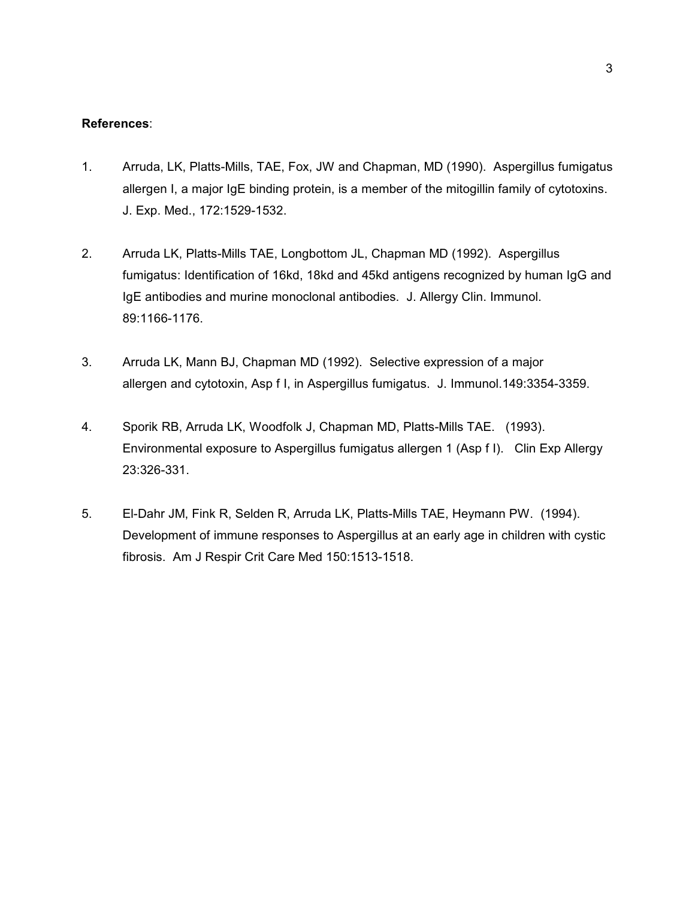#### **References**:

- 1. Arruda, LK, Platts-Mills, TAE, Fox, JW and Chapman, MD (1990). Aspergillus fumigatus allergen I, a major IgE binding protein, is a member of the mitogillin family of cytotoxins. J. Exp. Med., 172:1529-1532.
- 2. Arruda LK, Platts-Mills TAE, Longbottom JL, Chapman MD (1992). Aspergillus fumigatus: Identification of 16kd, 18kd and 45kd antigens recognized by human IgG and IgE antibodies and murine monoclonal antibodies. J. Allergy Clin. Immunol. 89:1166-1176.
- 3. Arruda LK, Mann BJ, Chapman MD (1992). Selective expression of a major allergen and cytotoxin, Asp f I, in Aspergillus fumigatus. J. Immunol.149:3354-3359.
- 4. Sporik RB, Arruda LK, Woodfolk J, Chapman MD, Platts-Mills TAE. (1993). Environmental exposure to Aspergillus fumigatus allergen 1 (Asp f I). Clin Exp Allergy 23:326-331.
- 5. El-Dahr JM, Fink R, Selden R, Arruda LK, Platts-Mills TAE, Heymann PW. (1994). Development of immune responses to Aspergillus at an early age in children with cystic fibrosis. Am J Respir Crit Care Med 150:1513-1518.